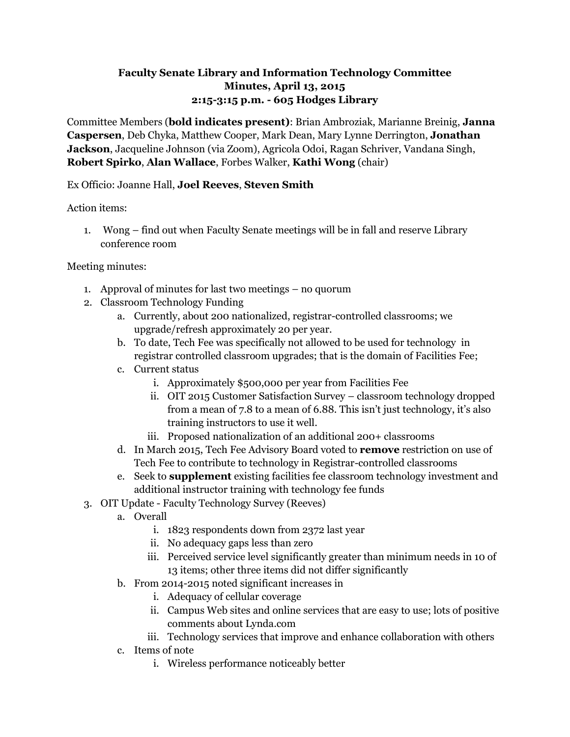# **Faculty Senate Library and Information Technology Committee Minutes, April 13, 2015 2:15-3:15 p.m. - 605 Hodges Library**

Committee Members (**bold indicates present)**: Brian Ambroziak, Marianne Breinig, **Janna Caspersen**, Deb Chyka, Matthew Cooper, Mark Dean, Mary Lynne Derrington, **Jonathan Jackson**, Jacqueline Johnson (via Zoom), Agricola Odoi, Ragan Schriver, Vandana Singh, **Robert Spirko**, **Alan Wallace**, Forbes Walker, **Kathi Wong** (chair)

## Ex Officio: Joanne Hall, **Joel Reeves**, **Steven Smith**

Action items:

1. Wong – find out when Faculty Senate meetings will be in fall and reserve Library conference room

## Meeting minutes:

- 1. Approval of minutes for last two meetings no quorum
- 2. Classroom Technology Funding
	- a. Currently, about 200 nationalized, registrar-controlled classrooms; we upgrade/refresh approximately 20 per year.
	- b. To date, Tech Fee was specifically not allowed to be used for technology in registrar controlled classroom upgrades; that is the domain of Facilities Fee;
	- c. Current status
		- i. Approximately \$500,000 per year from Facilities Fee
		- ii. OIT 2015 Customer Satisfaction Survey classroom technology dropped from a mean of 7.8 to a mean of 6.88. This isn't just technology, it's also training instructors to use it well.
		- iii. Proposed nationalization of an additional 200+ classrooms
	- d. In March 2015, Tech Fee Advisory Board voted to **remove** restriction on use of Tech Fee to contribute to technology in Registrar-controlled classrooms
	- e. Seek to **supplement** existing facilities fee classroom technology investment and additional instructor training with technology fee funds
- 3. OIT Update Faculty Technology Survey (Reeves)
	- a. Overall
		- i. 1823 respondents down from 2372 last year
		- ii. No adequacy gaps less than zero
		- iii. Perceived service level significantly greater than minimum needs in 10 of 13 items; other three items did not differ significantly
	- b. From 2014-2015 noted significant increases in
		- i. Adequacy of cellular coverage
		- ii. Campus Web sites and online services that are easy to use; lots of positive comments about Lynda.com
		- iii. Technology services that improve and enhance collaboration with others
	- c. Items of note
		- i. Wireless performance noticeably better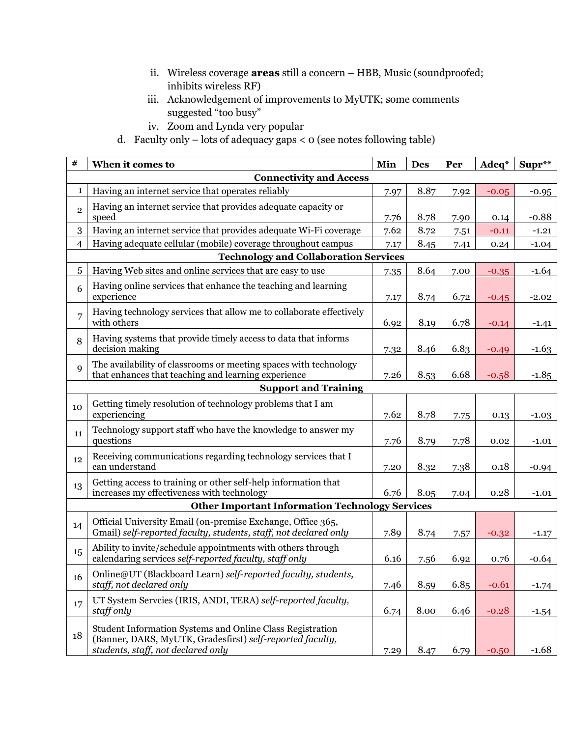- ii. Wireless coverage **areas** still a concern HBB, Music (soundproofed; inhibits wireless RF)
- iii. Acknowledgement of improvements to MyUTK; some comments suggested "too busy"
- iv. Zoom and Lynda very popular
- d. Faculty only  $-$  lots of adequacy gaps  $\lt o$  (see notes following table)

| #                                            | When it comes to                                                                                                                                             | Min  | <b>Des</b> | Per  | Adeq*   | $Supr^{\ast\ast}$ |  |  |  |
|----------------------------------------------|--------------------------------------------------------------------------------------------------------------------------------------------------------------|------|------------|------|---------|-------------------|--|--|--|
| <b>Connectivity and Access</b>               |                                                                                                                                                              |      |            |      |         |                   |  |  |  |
| $\mathbf{1}$                                 | Having an internet service that operates reliably                                                                                                            | 7.97 | 8.87       | 7.92 | $-0.05$ | $-0.95$           |  |  |  |
| $\overline{2}$                               | Having an internet service that provides adequate capacity or<br>speed                                                                                       | 7.76 | 8.78       | 7.90 | 0.14    | $-0.88$           |  |  |  |
| 3                                            | Having an internet service that provides adequate Wi-Fi coverage                                                                                             | 7.62 | 8.72       | 7.51 | $-0.11$ | $-1.21$           |  |  |  |
| $\overline{\mathcal{A}}$                     | Having adequate cellular (mobile) coverage throughout campus                                                                                                 | 7.17 | 8.45       | 7.41 | 0.24    | $-1.04$           |  |  |  |
| <b>Technology and Collaboration Services</b> |                                                                                                                                                              |      |            |      |         |                   |  |  |  |
| 5                                            | Having Web sites and online services that are easy to use                                                                                                    | 7.35 | 8.64       | 7.00 | $-0.35$ | $-1.64$           |  |  |  |
| 6                                            | Having online services that enhance the teaching and learning<br>experience                                                                                  | 7.17 | 8.74       | 6.72 | $-0.45$ | $-2.02$           |  |  |  |
| $\overline{7}$                               | Having technology services that allow me to collaborate effectively<br>with others                                                                           | 6.92 | 8.19       | 6.78 | $-0.14$ | $-1.41$           |  |  |  |
| 8                                            | Having systems that provide timely access to data that informs<br>decision making                                                                            | 7.32 | 8.46       | 6.83 | $-0.49$ | $-1.63$           |  |  |  |
| 9                                            | The availability of classrooms or meeting spaces with technology<br>that enhances that teaching and learning experience                                      | 7.26 | 8.53       | 6.68 | $-0.58$ | $-1.85$           |  |  |  |
|                                              | <b>Support and Training</b>                                                                                                                                  |      |            |      |         |                   |  |  |  |
| 10                                           | Getting timely resolution of technology problems that I am<br>experiencing                                                                                   | 7.62 | 8.78       | 7.75 | 0.13    | $-1.03$           |  |  |  |
| 11                                           | Technology support staff who have the knowledge to answer my<br>questions                                                                                    | 7.76 | 8.79       | 7.78 | 0.02    | $-1.01$           |  |  |  |
| 12                                           | Receiving communications regarding technology services that I<br>can understand                                                                              | 7.20 | 8.32       | 7.38 | 0.18    | $-0.94$           |  |  |  |
| 13                                           | Getting access to training or other self-help information that<br>increases my effectiveness with technology                                                 | 6.76 | 8.05       | 7.04 | 0.28    | $-1.01$           |  |  |  |
|                                              | <b>Other Important Information Technology Services</b>                                                                                                       |      |            |      |         |                   |  |  |  |
| 14                                           | Official University Email (on-premise Exchange, Office 365,<br>Gmail) self-reported faculty, students, staff, not declared only                              | 7.89 | 8.74       | 7.57 | $-0.32$ | $-1.17$           |  |  |  |
| 15                                           | Ability to invite/schedule appointments with others through<br>calendaring services self-reported faculty, staff only                                        | 6.16 | 7.56       | 6.92 | 0.76    | $-0.64$           |  |  |  |
| 16                                           | Online@UT (Blackboard Learn) self-reported faculty, students,<br>staff, not declared only                                                                    | 7.46 | 8.59       | 6.85 | $-0.61$ | $-1.74$           |  |  |  |
| 17                                           | UT System Serveies (IRIS, ANDI, TERA) self-reported faculty,<br>staff only                                                                                   | 6.74 | 8.00       | 6.46 | $-0.28$ | $-1.54$           |  |  |  |
| 18                                           | Student Information Systems and Online Class Registration<br>(Banner, DARS, MyUTK, Gradesfirst) self-reported faculty,<br>students, staff, not declared only | 7.29 | 8.47       | 6.79 | $-0.50$ | $-1.68$           |  |  |  |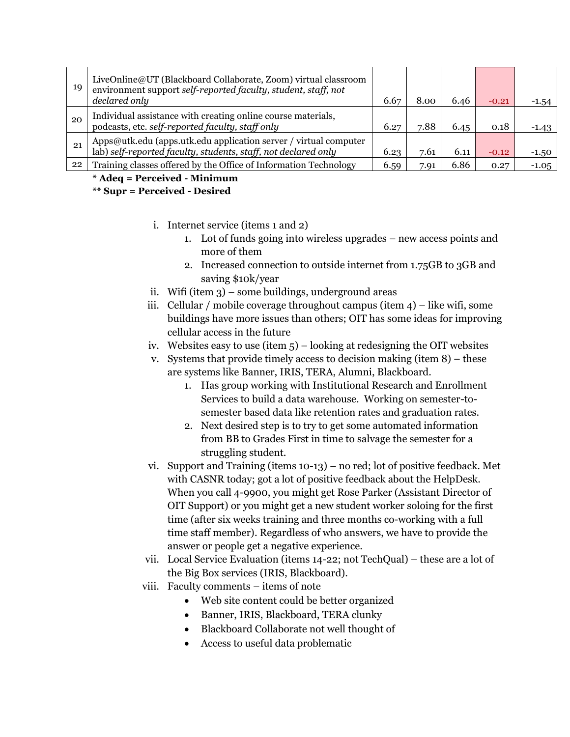| 19 | LiveOnline@UT (Blackboard Collaborate, Zoom) virtual classroom<br>environment support self-reported faculty, student, staff, not<br>declared only | 6.67 | 8.00 | 6.46 | $-0.21$ | $-1.54$ |
|----|---------------------------------------------------------------------------------------------------------------------------------------------------|------|------|------|---------|---------|
| 20 | Individual assistance with creating online course materials,<br>podcasts, etc. self-reported faculty, staff only                                  | 6.27 | 7.88 | 6.45 | 0.18    | -1.43   |
| 21 | Apps@utk.edu (apps.utk.edu application server / virtual computer lab) self-reported faculty, students, staff, not declared only                   | 6.23 | 7.61 | 6.11 | $-0.12$ | $-1.50$ |
| 22 | Training classes offered by the Office of Information Technology                                                                                  | 6.59 | 7.91 | 6.86 | 0.27    | $-1.05$ |

#### **\* Adeq = Perceived - Minimum**

## **\*\* Supr = Perceived - Desired**

- i. Internet service (items 1 and 2)
	- 1. Lot of funds going into wireless upgrades new access points and more of them
	- 2. Increased connection to outside internet from 1.75GB to 3GB and saving \$10k/year
- ii. Wifi (item 3) some buildings, underground areas
- iii. Cellular / mobile coverage throughout campus (item 4) like wifi, some buildings have more issues than others; OIT has some ideas for improving cellular access in the future
- iv. Websites easy to use (item  $5$ ) looking at redesigning the OIT websites
- v. Systems that provide timely access to decision making (item 8) these are systems like Banner, IRIS, TERA, Alumni, Blackboard.
	- 1. Has group working with Institutional Research and Enrollment Services to build a data warehouse. Working on semester-tosemester based data like retention rates and graduation rates.
	- 2. Next desired step is to try to get some automated information from BB to Grades First in time to salvage the semester for a struggling student.
- vi. Support and Training (items 10-13) no red; lot of positive feedback. Met with CASNR today; got a lot of positive feedback about the HelpDesk. When you call 4-9900, you might get Rose Parker (Assistant Director of OIT Support) or you might get a new student worker soloing for the first time (after six weeks training and three months co-working with a full time staff member). Regardless of who answers, we have to provide the answer or people get a negative experience.
- vii. Local Service Evaluation (items 14-22; not TechQual) these are a lot of the Big Box services (IRIS, Blackboard).
- viii. Faculty comments items of note
	- Web site content could be better organized
	- Banner, IRIS, Blackboard, TERA clunky
	- Blackboard Collaborate not well thought of
	- Access to useful data problematic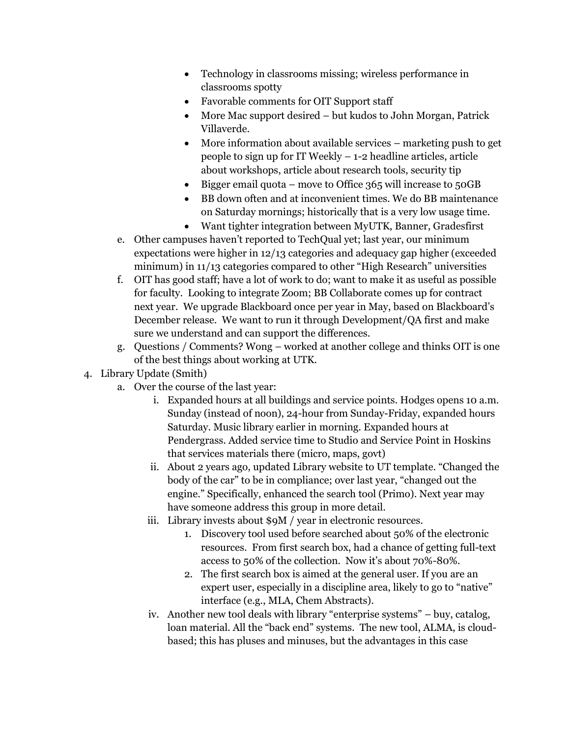- Technology in classrooms missing; wireless performance in classrooms spotty
- Favorable comments for OIT Support staff
- More Mac support desired but kudos to John Morgan, Patrick Villaverde.
- More information about available services marketing push to get people to sign up for IT Weekly – 1-2 headline articles, article about workshops, article about research tools, security tip
- $\bullet$  Bigger email quota move to Office 365 will increase to 50GB
- BB down often and at inconvenient times. We do BB maintenance on Saturday mornings; historically that is a very low usage time.
- Want tighter integration between MyUTK, Banner, Gradesfirst
- e. Other campuses haven't reported to TechQual yet; last year, our minimum expectations were higher in 12/13 categories and adequacy gap higher (exceeded minimum) in 11/13 categories compared to other "High Research" universities
- f. OIT has good staff; have a lot of work to do; want to make it as useful as possible for faculty. Looking to integrate Zoom; BB Collaborate comes up for contract next year. We upgrade Blackboard once per year in May, based on Blackboard's December release. We want to run it through Development/QA first and make sure we understand and can support the differences.
- g. Questions / Comments? Wong worked at another college and thinks OIT is one of the best things about working at UTK.
- 4. Library Update (Smith)
	- a. Over the course of the last year:
		- i. Expanded hours at all buildings and service points. Hodges opens 10 a.m. Sunday (instead of noon), 24-hour from Sunday-Friday, expanded hours Saturday. Music library earlier in morning. Expanded hours at Pendergrass. Added service time to Studio and Service Point in Hoskins that services materials there (micro, maps, govt)
		- ii. About 2 years ago, updated Library website to UT template. "Changed the body of the car" to be in compliance; over last year, "changed out the engine." Specifically, enhanced the search tool (Primo). Next year may have someone address this group in more detail.
		- iii. Library invests about \$9M / year in electronic resources.
			- 1. Discovery tool used before searched about 50% of the electronic resources. From first search box, had a chance of getting full-text access to 50% of the collection. Now it's about 70%-80%.
			- 2. The first search box is aimed at the general user. If you are an expert user, especially in a discipline area, likely to go to "native" interface (e.g., MLA, Chem Abstracts).
		- iv. Another new tool deals with library "enterprise systems" buy, catalog, loan material. All the "back end" systems. The new tool, ALMA, is cloudbased; this has pluses and minuses, but the advantages in this case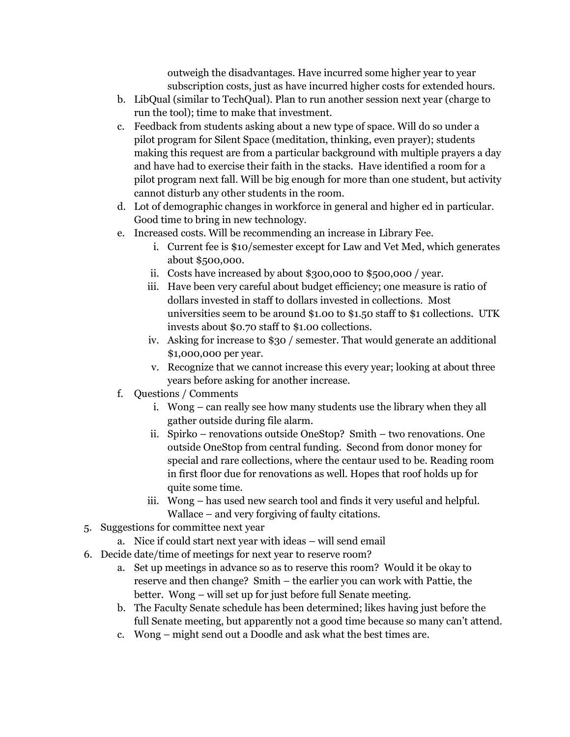outweigh the disadvantages. Have incurred some higher year to year subscription costs, just as have incurred higher costs for extended hours.

- b. LibQual (similar to TechQual). Plan to run another session next year (charge to run the tool); time to make that investment.
- c. Feedback from students asking about a new type of space. Will do so under a pilot program for Silent Space (meditation, thinking, even prayer); students making this request are from a particular background with multiple prayers a day and have had to exercise their faith in the stacks. Have identified a room for a pilot program next fall. Will be big enough for more than one student, but activity cannot disturb any other students in the room.
- d. Lot of demographic changes in workforce in general and higher ed in particular. Good time to bring in new technology.
- e. Increased costs. Will be recommending an increase in Library Fee.
	- i. Current fee is \$10/semester except for Law and Vet Med, which generates about \$500,000.
	- ii. Costs have increased by about \$300,000 t0 \$500,000 / year.
	- iii. Have been very careful about budget efficiency; one measure is ratio of dollars invested in staff to dollars invested in collections. Most universities seem to be around \$1.00 to \$1.50 staff to \$1 collections. UTK invests about \$0.70 staff to \$1.00 collections.
	- iv. Asking for increase to \$30 / semester. That would generate an additional \$1,000,000 per year.
	- v. Recognize that we cannot increase this every year; looking at about three years before asking for another increase.
- f. Questions / Comments
	- i. Wong can really see how many students use the library when they all gather outside during file alarm.
	- ii. Spirko renovations outside OneStop? Smith two renovations. One outside OneStop from central funding. Second from donor money for special and rare collections, where the centaur used to be. Reading room in first floor due for renovations as well. Hopes that roof holds up for quite some time.
	- iii. Wong has used new search tool and finds it very useful and helpful. Wallace – and very forgiving of faulty citations.
- 5. Suggestions for committee next year
	- a. Nice if could start next year with ideas will send email
- 6. Decide date/time of meetings for next year to reserve room?
	- a. Set up meetings in advance so as to reserve this room? Would it be okay to reserve and then change? Smith – the earlier you can work with Pattie, the better. Wong – will set up for just before full Senate meeting.
	- b. The Faculty Senate schedule has been determined; likes having just before the full Senate meeting, but apparently not a good time because so many can't attend.
	- c. Wong might send out a Doodle and ask what the best times are.